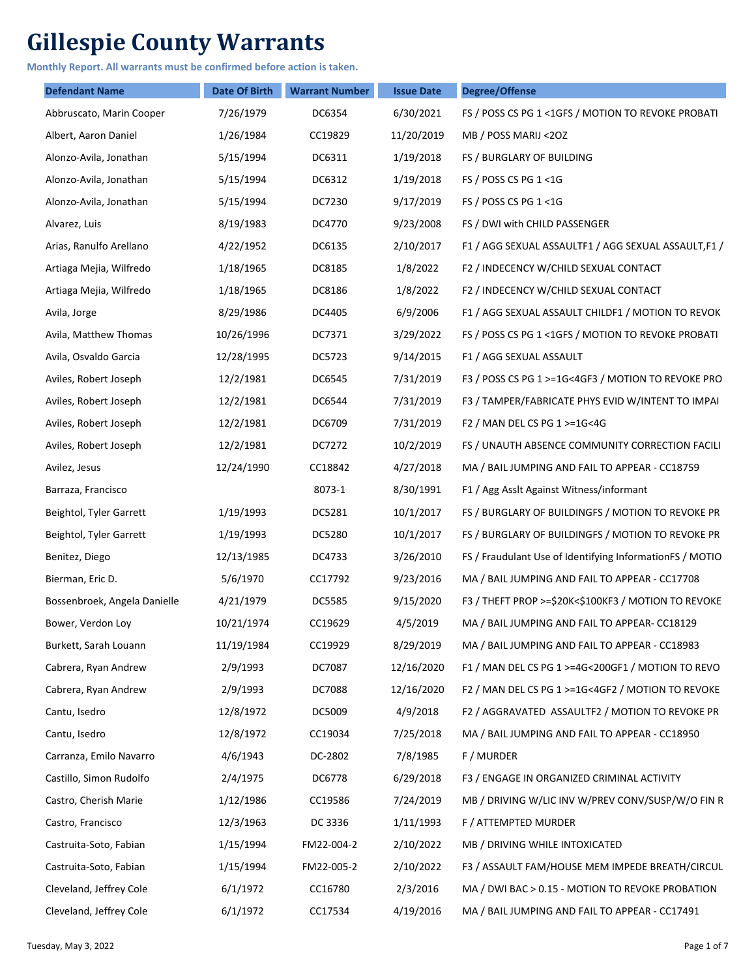## **Gillespie County Warrants**

**Monthly Report. All warrants must be confirmed before action is taken.**

| <b>Defendant Name</b>        | <b>Date Of Birth</b> | <b>Warrant Number</b> | <b>Issue Date</b> | <b>Degree/Offense</b>                                    |
|------------------------------|----------------------|-----------------------|-------------------|----------------------------------------------------------|
| Abbruscato, Marin Cooper     | 7/26/1979            | DC6354                | 6/30/2021         | FS / POSS CS PG 1 < 1GFS / MOTION TO REVOKE PROBATI      |
| Albert, Aaron Daniel         | 1/26/1984            | CC19829               | 11/20/2019        | MB / POSS MARIJ <20Z                                     |
| Alonzo-Avila, Jonathan       | 5/15/1994            | DC6311                | 1/19/2018         | FS / BURGLARY OF BUILDING                                |
| Alonzo-Avila, Jonathan       | 5/15/1994            | DC6312                | 1/19/2018         | FS / POSS CS PG 1 <1G                                    |
| Alonzo-Avila, Jonathan       | 5/15/1994            | DC7230                | 9/17/2019         | FS / POSS CS PG 1 <1G                                    |
| Alvarez, Luis                | 8/19/1983            | DC4770                | 9/23/2008         | FS / DWI with CHILD PASSENGER                            |
| Arias, Ranulfo Arellano      | 4/22/1952            | DC6135                | 2/10/2017         | F1 / AGG SEXUAL ASSAULTF1 / AGG SEXUAL ASSAULT,F1 /      |
| Artiaga Mejia, Wilfredo      | 1/18/1965            | DC8185                | 1/8/2022          | F2 / INDECENCY W/CHILD SEXUAL CONTACT                    |
| Artiaga Mejia, Wilfredo      | 1/18/1965            | DC8186                | 1/8/2022          | F2 / INDECENCY W/CHILD SEXUAL CONTACT                    |
| Avila, Jorge                 | 8/29/1986            | DC4405                | 6/9/2006          | F1 / AGG SEXUAL ASSAULT CHILDF1 / MOTION TO REVOK        |
| Avila, Matthew Thomas        | 10/26/1996           | DC7371                | 3/29/2022         | FS / POSS CS PG 1 <1GFS / MOTION TO REVOKE PROBATI       |
| Avila, Osvaldo Garcia        | 12/28/1995           | DC5723                | 9/14/2015         | F1 / AGG SEXUAL ASSAULT                                  |
| Aviles, Robert Joseph        | 12/2/1981            | DC6545                | 7/31/2019         | F3 / POSS CS PG 1 >=1G<4GF3 / MOTION TO REVOKE PRO       |
| Aviles, Robert Joseph        | 12/2/1981            | DC6544                | 7/31/2019         | F3 / TAMPER/FABRICATE PHYS EVID W/INTENT TO IMPAI        |
| Aviles, Robert Joseph        | 12/2/1981            | DC6709                | 7/31/2019         | F2 / MAN DEL CS PG 1 >=1G<4G                             |
| Aviles, Robert Joseph        | 12/2/1981            | DC7272                | 10/2/2019         | FS / UNAUTH ABSENCE COMMUNITY CORRECTION FACILI          |
| Avilez, Jesus                | 12/24/1990           | CC18842               | 4/27/2018         | MA / BAIL JUMPING AND FAIL TO APPEAR - CC18759           |
| Barraza, Francisco           |                      | 8073-1                | 8/30/1991         | F1 / Agg Asslt Against Witness/informant                 |
| Beightol, Tyler Garrett      | 1/19/1993            | DC5281                | 10/1/2017         | FS / BURGLARY OF BUILDINGFS / MOTION TO REVOKE PR        |
| Beightol, Tyler Garrett      | 1/19/1993            | DC5280                | 10/1/2017         | FS / BURGLARY OF BUILDINGFS / MOTION TO REVOKE PR        |
| Benitez, Diego               | 12/13/1985           | DC4733                | 3/26/2010         | FS / Fraudulant Use of Identifying InformationFS / MOTIO |
| Bierman, Eric D.             | 5/6/1970             | CC17792               | 9/23/2016         | MA / BAIL JUMPING AND FAIL TO APPEAR - CC17708           |
| Bossenbroek, Angela Danielle | 4/21/1979            | <b>DC5585</b>         | 9/15/2020         | F3 / THEFT PROP >=\$20K<\$100KF3 / MOTION TO REVOKE      |
| Bower, Verdon Loy            | 10/21/1974           | CC19629               | 4/5/2019          | MA / BAIL JUMPING AND FAIL TO APPEAR- CC18129            |
| Burkett, Sarah Louann        | 11/19/1984           | CC19929               | 8/29/2019         | MA / BAIL JUMPING AND FAIL TO APPEAR - CC18983           |
| Cabrera, Ryan Andrew         | 2/9/1993             | DC7087                | 12/16/2020        | F1 / MAN DEL CS PG 1 >=4G<200GF1 / MOTION TO REVO        |
| Cabrera, Ryan Andrew         | 2/9/1993             | <b>DC7088</b>         | 12/16/2020        | F2 / MAN DEL CS PG 1 >=1G<4GF2 / MOTION TO REVOKE        |
| Cantu, Isedro                | 12/8/1972            | DC5009                | 4/9/2018          | F2 / AGGRAVATED ASSAULTF2 / MOTION TO REVOKE PR          |
| Cantu, Isedro                | 12/8/1972            | CC19034               | 7/25/2018         | MA / BAIL JUMPING AND FAIL TO APPEAR - CC18950           |
| Carranza, Emilo Navarro      | 4/6/1943             | DC-2802               | 7/8/1985          | F / MURDER                                               |
| Castillo, Simon Rudolfo      | 2/4/1975             | DC6778                | 6/29/2018         | F3 / ENGAGE IN ORGANIZED CRIMINAL ACTIVITY               |
| Castro, Cherish Marie        | 1/12/1986            | CC19586               | 7/24/2019         | MB / DRIVING W/LIC INV W/PREV CONV/SUSP/W/O FIN R        |
| Castro, Francisco            | 12/3/1963            | DC 3336               | 1/11/1993         | F / ATTEMPTED MURDER                                     |
| Castruita-Soto, Fabian       | 1/15/1994            | FM22-004-2            | 2/10/2022         | MB / DRIVING WHILE INTOXICATED                           |
| Castruita-Soto, Fabian       | 1/15/1994            | FM22-005-2            | 2/10/2022         | F3 / ASSAULT FAM/HOUSE MEM IMPEDE BREATH/CIRCUL          |
| Cleveland, Jeffrey Cole      | 6/1/1972             | CC16780               | 2/3/2016          | MA / DWI BAC > 0.15 - MOTION TO REVOKE PROBATION         |
| Cleveland, Jeffrey Cole      | 6/1/1972             | CC17534               | 4/19/2016         | MA / BAIL JUMPING AND FAIL TO APPEAR - CC17491           |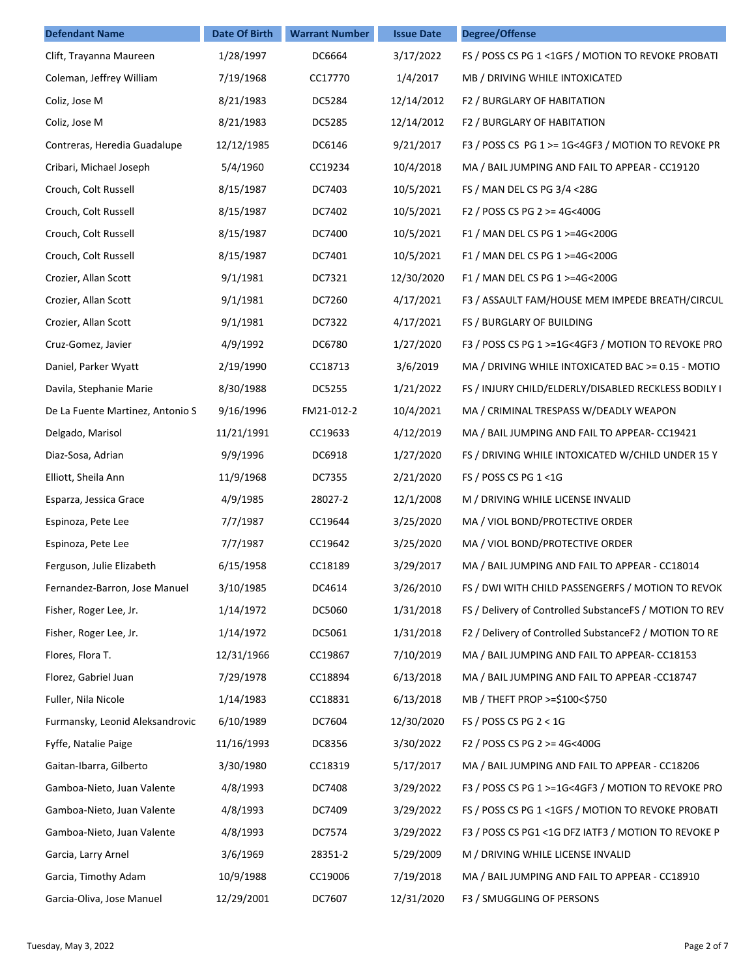| <b>Defendant Name</b>            | <b>Date Of Birth</b> | <b>Warrant Number</b> | <b>Issue Date</b> | <b>Degree/Offense</b>                                   |
|----------------------------------|----------------------|-----------------------|-------------------|---------------------------------------------------------|
| Clift, Trayanna Maureen          | 1/28/1997            | DC6664                | 3/17/2022         | FS / POSS CS PG 1 < 1GFS / MOTION TO REVOKE PROBATI     |
| Coleman, Jeffrey William         | 7/19/1968            | CC17770               | 1/4/2017          | MB / DRIVING WHILE INTOXICATED                          |
| Coliz, Jose M                    | 8/21/1983            | DC5284                | 12/14/2012        | F2 / BURGLARY OF HABITATION                             |
| Coliz, Jose M                    | 8/21/1983            | DC5285                | 12/14/2012        | F2 / BURGLARY OF HABITATION                             |
| Contreras, Heredia Guadalupe     | 12/12/1985           | DC6146                | 9/21/2017         | F3 / POSS CS PG 1 >= 1G<4GF3 / MOTION TO REVOKE PR      |
| Cribari, Michael Joseph          | 5/4/1960             | CC19234               | 10/4/2018         | MA / BAIL JUMPING AND FAIL TO APPEAR - CC19120          |
| Crouch, Colt Russell             | 8/15/1987            | DC7403                | 10/5/2021         | FS / MAN DEL CS PG 3/4 <28G                             |
| Crouch, Colt Russell             | 8/15/1987            | DC7402                | 10/5/2021         | F2 / POSS CS PG 2 >= 4G<400G                            |
| Crouch, Colt Russell             | 8/15/1987            | DC7400                | 10/5/2021         | F1 / MAN DEL CS PG 1 >=4G<200G                          |
| Crouch, Colt Russell             | 8/15/1987            | DC7401                | 10/5/2021         | F1 / MAN DEL CS PG 1 >=4G<200G                          |
| Crozier, Allan Scott             | 9/1/1981             | DC7321                | 12/30/2020        | F1 / MAN DEL CS PG 1 >=4G<200G                          |
| Crozier, Allan Scott             | 9/1/1981             | DC7260                | 4/17/2021         | F3 / ASSAULT FAM/HOUSE MEM IMPEDE BREATH/CIRCUL         |
| Crozier, Allan Scott             | 9/1/1981             | DC7322                | 4/17/2021         | FS / BURGLARY OF BUILDING                               |
| Cruz-Gomez, Javier               | 4/9/1992             | DC6780                | 1/27/2020         | F3 / POSS CS PG 1 >=1G<4GF3 / MOTION TO REVOKE PRO      |
| Daniel, Parker Wyatt             | 2/19/1990            | CC18713               | 3/6/2019          | MA / DRIVING WHILE INTOXICATED BAC >= 0.15 - MOTIO      |
| Davila, Stephanie Marie          | 8/30/1988            | DC5255                | 1/21/2022         | FS / INJURY CHILD/ELDERLY/DISABLED RECKLESS BODILY I    |
| De La Fuente Martinez, Antonio S | 9/16/1996            | FM21-012-2            | 10/4/2021         | MA / CRIMINAL TRESPASS W/DEADLY WEAPON                  |
| Delgado, Marisol                 | 11/21/1991           | CC19633               | 4/12/2019         | MA / BAIL JUMPING AND FAIL TO APPEAR- CC19421           |
| Diaz-Sosa, Adrian                | 9/9/1996             | DC6918                | 1/27/2020         | FS / DRIVING WHILE INTOXICATED W/CHILD UNDER 15 Y       |
| Elliott, Sheila Ann              | 11/9/1968            | DC7355                | 2/21/2020         | FS / POSS CS PG 1 <1G                                   |
| Esparza, Jessica Grace           | 4/9/1985             | 28027-2               | 12/1/2008         | M / DRIVING WHILE LICENSE INVALID                       |
| Espinoza, Pete Lee               | 7/7/1987             | CC19644               | 3/25/2020         | MA / VIOL BOND/PROTECTIVE ORDER                         |
| Espinoza, Pete Lee               | 7/7/1987             | CC19642               | 3/25/2020         | MA / VIOL BOND/PROTECTIVE ORDER                         |
| Ferguson, Julie Elizabeth        | 6/15/1958            | CC18189               | 3/29/2017         | MA / BAIL JUMPING AND FAIL TO APPEAR - CC18014          |
| Fernandez-Barron, Jose Manuel    | 3/10/1985            | DC4614                | 3/26/2010         | FS / DWI WITH CHILD PASSENGERFS / MOTION TO REVOK       |
| Fisher, Roger Lee, Jr.           | 1/14/1972            | DC5060                | 1/31/2018         | FS / Delivery of Controlled SubstanceFS / MOTION TO REV |
| Fisher, Roger Lee, Jr.           | 1/14/1972            | DC5061                | 1/31/2018         | F2 / Delivery of Controlled SubstanceF2 / MOTION TO RE  |
| Flores, Flora T.                 | 12/31/1966           | CC19867               | 7/10/2019         | MA / BAIL JUMPING AND FAIL TO APPEAR- CC18153           |
| Florez, Gabriel Juan             | 7/29/1978            | CC18894               | 6/13/2018         | MA / BAIL JUMPING AND FAIL TO APPEAR -CC18747           |
| Fuller, Nila Nicole              | 1/14/1983            | CC18831               | 6/13/2018         | MB / THEFT PROP >=\$100<\$750                           |
| Furmansky, Leonid Aleksandrovic  | 6/10/1989            | DC7604                | 12/30/2020        | FS / POSS CS PG $2 < 1$ G                               |
| Fyffe, Natalie Paige             | 11/16/1993           | DC8356                | 3/30/2022         | F2 / POSS CS PG 2 >= 4G<400G                            |
| Gaitan-Ibarra, Gilberto          | 3/30/1980            | CC18319               | 5/17/2017         | MA / BAIL JUMPING AND FAIL TO APPEAR - CC18206          |
| Gamboa-Nieto, Juan Valente       | 4/8/1993             | DC7408                | 3/29/2022         | F3 / POSS CS PG 1 >=1G<4GF3 / MOTION TO REVOKE PRO      |
| Gamboa-Nieto, Juan Valente       | 4/8/1993             | DC7409                | 3/29/2022         | FS / POSS CS PG 1 <1GFS / MOTION TO REVOKE PROBATI      |
| Gamboa-Nieto, Juan Valente       | 4/8/1993             | DC7574                | 3/29/2022         | F3 / POSS CS PG1 <1G DFZ IATF3 / MOTION TO REVOKE P     |
| Garcia, Larry Arnel              | 3/6/1969             | 28351-2               | 5/29/2009         | M / DRIVING WHILE LICENSE INVALID                       |
| Garcia, Timothy Adam             | 10/9/1988            | CC19006               | 7/19/2018         | MA / BAIL JUMPING AND FAIL TO APPEAR - CC18910          |
| Garcia-Oliva, Jose Manuel        | 12/29/2001           | DC7607                | 12/31/2020        | F3 / SMUGGLING OF PERSONS                               |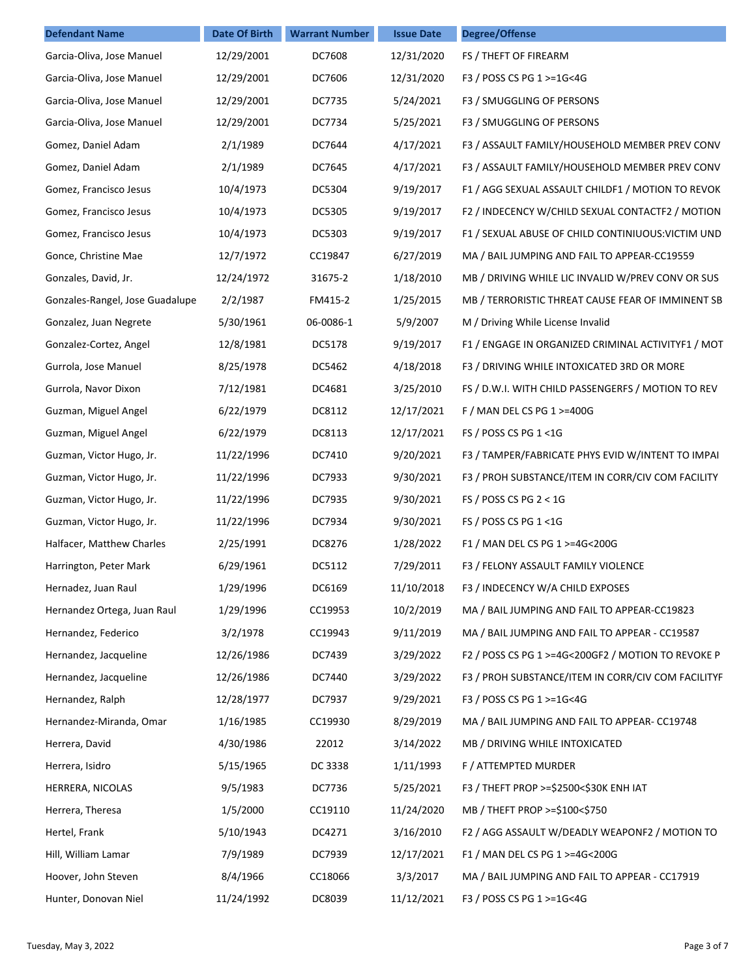| <b>Defendant Name</b>           | <b>Date Of Birth</b> | <b>Warrant Number</b> | <b>Issue Date</b> | <b>Degree/Offense</b>                              |
|---------------------------------|----------------------|-----------------------|-------------------|----------------------------------------------------|
| Garcia-Oliva, Jose Manuel       | 12/29/2001           | DC7608                | 12/31/2020        | FS / THEFT OF FIREARM                              |
| Garcia-Oliva, Jose Manuel       | 12/29/2001           | DC7606                | 12/31/2020        | F3 / POSS CS PG 1 >=1G<4G                          |
| Garcia-Oliva, Jose Manuel       | 12/29/2001           | DC7735                | 5/24/2021         | F3 / SMUGGLING OF PERSONS                          |
| Garcia-Oliva, Jose Manuel       | 12/29/2001           | DC7734                | 5/25/2021         | F3 / SMUGGLING OF PERSONS                          |
| Gomez, Daniel Adam              | 2/1/1989             | DC7644                | 4/17/2021         | F3 / ASSAULT FAMILY/HOUSEHOLD MEMBER PREV CONV     |
| Gomez, Daniel Adam              | 2/1/1989             | DC7645                | 4/17/2021         | F3 / ASSAULT FAMILY/HOUSEHOLD MEMBER PREV CONV     |
| Gomez, Francisco Jesus          | 10/4/1973            | DC5304                | 9/19/2017         | F1 / AGG SEXUAL ASSAULT CHILDF1 / MOTION TO REVOK  |
| Gomez, Francisco Jesus          | 10/4/1973            | DC5305                | 9/19/2017         | F2 / INDECENCY W/CHILD SEXUAL CONTACTF2 / MOTION   |
| Gomez, Francisco Jesus          | 10/4/1973            | DC5303                | 9/19/2017         | F1 / SEXUAL ABUSE OF CHILD CONTINIUOUS: VICTIM UND |
| Gonce, Christine Mae            | 12/7/1972            | CC19847               | 6/27/2019         | MA / BAIL JUMPING AND FAIL TO APPEAR-CC19559       |
| Gonzales, David, Jr.            | 12/24/1972           | 31675-2               | 1/18/2010         | MB / DRIVING WHILE LIC INVALID W/PREV CONV OR SUS  |
| Gonzales-Rangel, Jose Guadalupe | 2/2/1987             | FM415-2               | 1/25/2015         | MB / TERRORISTIC THREAT CAUSE FEAR OF IMMINENT SB  |
| Gonzalez, Juan Negrete          | 5/30/1961            | 06-0086-1             | 5/9/2007          | M / Driving While License Invalid                  |
| Gonzalez-Cortez, Angel          | 12/8/1981            | DC5178                | 9/19/2017         | F1 / ENGAGE IN ORGANIZED CRIMINAL ACTIVITYF1 / MOT |
| Gurrola, Jose Manuel            | 8/25/1978            | DC5462                | 4/18/2018         | F3 / DRIVING WHILE INTOXICATED 3RD OR MORE         |
| Gurrola, Navor Dixon            | 7/12/1981            | DC4681                | 3/25/2010         | FS / D.W.I. WITH CHILD PASSENGERFS / MOTION TO REV |
| Guzman, Miguel Angel            | 6/22/1979            | DC8112                | 12/17/2021        | F / MAN DEL CS PG 1 >=400G                         |
| Guzman, Miguel Angel            | 6/22/1979            | DC8113                | 12/17/2021        | FS / POSS CS PG 1 <1G                              |
| Guzman, Victor Hugo, Jr.        | 11/22/1996           | DC7410                | 9/20/2021         | F3 / TAMPER/FABRICATE PHYS EVID W/INTENT TO IMPAI  |
| Guzman, Victor Hugo, Jr.        | 11/22/1996           | DC7933                | 9/30/2021         | F3 / PROH SUBSTANCE/ITEM IN CORR/CIV COM FACILITY  |
| Guzman, Victor Hugo, Jr.        | 11/22/1996           | DC7935                | 9/30/2021         | FS / POSS CS PG $2 < 1$ G                          |
| Guzman, Victor Hugo, Jr.        | 11/22/1996           | DC7934                | 9/30/2021         | FS / POSS CS PG 1 <1G                              |
| Halfacer, Matthew Charles       | 2/25/1991            | DC8276                | 1/28/2022         | F1 / MAN DEL CS PG 1 >=4G<200G                     |
| Harrington, Peter Mark          | 6/29/1961            | DC5112                | 7/29/2011         | F3 / FELONY ASSAULT FAMILY VIOLENCE                |
| Hernadez, Juan Raul             | 1/29/1996            | DC6169                | 11/10/2018        | F3 / INDECENCY W/A CHILD EXPOSES                   |
| Hernandez Ortega, Juan Raul     | 1/29/1996            | CC19953               | 10/2/2019         | MA / BAIL JUMPING AND FAIL TO APPEAR-CC19823       |
| Hernandez, Federico             | 3/2/1978             | CC19943               | 9/11/2019         | MA / BAIL JUMPING AND FAIL TO APPEAR - CC19587     |
| Hernandez, Jacqueline           | 12/26/1986           | DC7439                | 3/29/2022         | F2 / POSS CS PG 1 >=4G<200GF2 / MOTION TO REVOKE P |
| Hernandez, Jacqueline           | 12/26/1986           | DC7440                | 3/29/2022         | F3 / PROH SUBSTANCE/ITEM IN CORR/CIV COM FACILITYF |
| Hernandez, Ralph                | 12/28/1977           | DC7937                | 9/29/2021         | F3 / POSS CS PG 1 >=1G<4G                          |
| Hernandez-Miranda, Omar         | 1/16/1985            | CC19930               | 8/29/2019         | MA / BAIL JUMPING AND FAIL TO APPEAR- CC19748      |
| Herrera, David                  | 4/30/1986            | 22012                 | 3/14/2022         | MB / DRIVING WHILE INTOXICATED                     |
| Herrera, Isidro                 | 5/15/1965            | DC 3338               | 1/11/1993         | F / ATTEMPTED MURDER                               |
| HERRERA, NICOLAS                | 9/5/1983             | DC7736                | 5/25/2021         | F3 / THEFT PROP >=\$2500<\$30K ENH IAT             |
| Herrera, Theresa                | 1/5/2000             | CC19110               | 11/24/2020        | MB / THEFT PROP >=\$100<\$750                      |
| Hertel, Frank                   | 5/10/1943            | DC4271                | 3/16/2010         | F2 / AGG ASSAULT W/DEADLY WEAPONF2 / MOTION TO     |
| Hill, William Lamar             | 7/9/1989             | DC7939                | 12/17/2021        | F1 / MAN DEL CS PG 1 >=4G<200G                     |
| Hoover, John Steven             | 8/4/1966             | CC18066               | 3/3/2017          | MA / BAIL JUMPING AND FAIL TO APPEAR - CC17919     |
| Hunter, Donovan Niel            | 11/24/1992           | DC8039                | 11/12/2021        | F3 / POSS CS PG 1 >=1G<4G                          |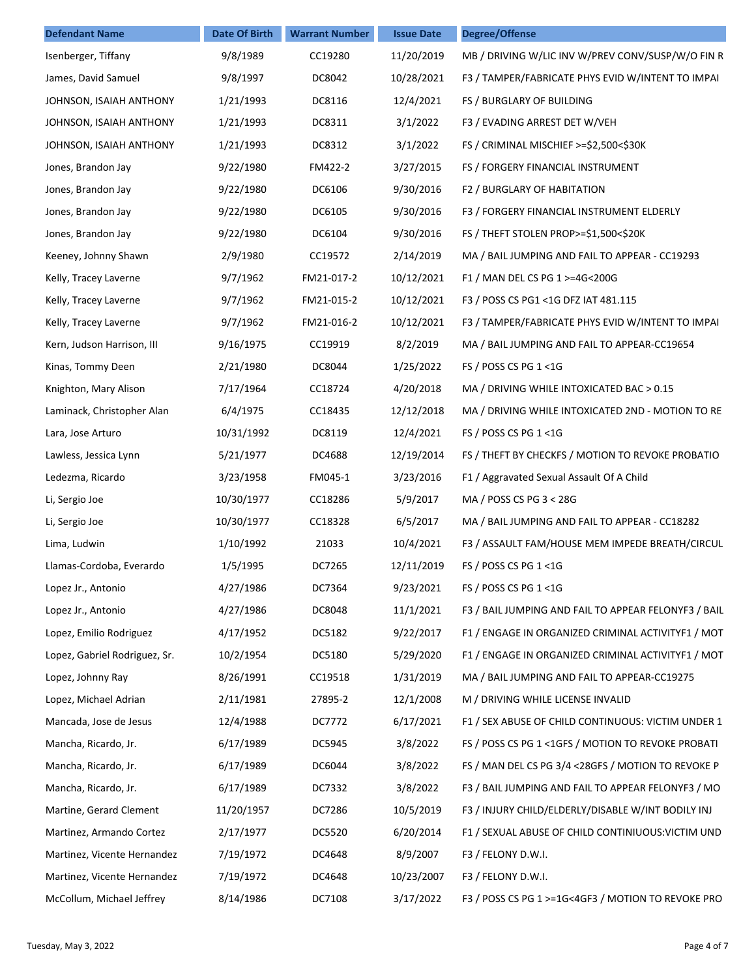| <b>Defendant Name</b>         | <b>Date Of Birth</b> | <b>Warrant Number</b> | <b>Issue Date</b> | <b>Degree/Offense</b>                                |
|-------------------------------|----------------------|-----------------------|-------------------|------------------------------------------------------|
| Isenberger, Tiffany           | 9/8/1989             | CC19280               | 11/20/2019        | MB / DRIVING W/LIC INV W/PREV CONV/SUSP/W/O FIN R    |
| James, David Samuel           | 9/8/1997             | DC8042                | 10/28/2021        | F3 / TAMPER/FABRICATE PHYS EVID W/INTENT TO IMPAI    |
| JOHNSON, ISAIAH ANTHONY       | 1/21/1993            | DC8116                | 12/4/2021         | FS / BURGLARY OF BUILDING                            |
| JOHNSON, ISAIAH ANTHONY       | 1/21/1993            | DC8311                | 3/1/2022          | F3 / EVADING ARREST DET W/VEH                        |
| JOHNSON, ISAIAH ANTHONY       | 1/21/1993            | DC8312                | 3/1/2022          | FS / CRIMINAL MISCHIEF >=\$2,500<\$30K               |
| Jones, Brandon Jay            | 9/22/1980            | FM422-2               | 3/27/2015         | FS / FORGERY FINANCIAL INSTRUMENT                    |
| Jones, Brandon Jay            | 9/22/1980            | DC6106                | 9/30/2016         | F2 / BURGLARY OF HABITATION                          |
| Jones, Brandon Jay            | 9/22/1980            | DC6105                | 9/30/2016         | F3 / FORGERY FINANCIAL INSTRUMENT ELDERLY            |
| Jones, Brandon Jay            | 9/22/1980            | DC6104                | 9/30/2016         | FS / THEFT STOLEN PROP>=\$1,500<\$20K                |
| Keeney, Johnny Shawn          | 2/9/1980             | CC19572               | 2/14/2019         | MA / BAIL JUMPING AND FAIL TO APPEAR - CC19293       |
| Kelly, Tracey Laverne         | 9/7/1962             | FM21-017-2            | 10/12/2021        | F1 / MAN DEL CS PG 1 >=4G<200G                       |
| Kelly, Tracey Laverne         | 9/7/1962             | FM21-015-2            | 10/12/2021        | F3 / POSS CS PG1 <1G DFZ IAT 481.115                 |
| Kelly, Tracey Laverne         | 9/7/1962             | FM21-016-2            | 10/12/2021        | F3 / TAMPER/FABRICATE PHYS EVID W/INTENT TO IMPAI    |
| Kern, Judson Harrison, III    | 9/16/1975            | CC19919               | 8/2/2019          | MA / BAIL JUMPING AND FAIL TO APPEAR-CC19654         |
| Kinas, Tommy Deen             | 2/21/1980            | DC8044                | 1/25/2022         | FS / POSS CS PG 1 <1G                                |
| Knighton, Mary Alison         | 7/17/1964            | CC18724               | 4/20/2018         | MA / DRIVING WHILE INTOXICATED BAC > 0.15            |
| Laminack, Christopher Alan    | 6/4/1975             | CC18435               | 12/12/2018        | MA / DRIVING WHILE INTOXICATED 2ND - MOTION TO RE    |
| Lara, Jose Arturo             | 10/31/1992           | DC8119                | 12/4/2021         | FS / POSS CS PG 1 <1G                                |
| Lawless, Jessica Lynn         | 5/21/1977            | DC4688                | 12/19/2014        | FS / THEFT BY CHECKFS / MOTION TO REVOKE PROBATIO    |
| Ledezma, Ricardo              | 3/23/1958            | FM045-1               | 3/23/2016         | F1 / Aggravated Sexual Assault Of A Child            |
| Li, Sergio Joe                | 10/30/1977           | CC18286               | 5/9/2017          | MA / POSS CS PG 3 < 28G                              |
| Li, Sergio Joe                | 10/30/1977           | CC18328               | 6/5/2017          | MA / BAIL JUMPING AND FAIL TO APPEAR - CC18282       |
| Lima, Ludwin                  | 1/10/1992            | 21033                 | 10/4/2021         | F3 / ASSAULT FAM/HOUSE MEM IMPEDE BREATH/CIRCUL      |
| Llamas-Cordoba, Everardo      | 1/5/1995             | DC7265                | 12/11/2019        | FS / POSS CS PG 1 <1G                                |
| Lopez Jr., Antonio            | 4/27/1986            | DC7364                | 9/23/2021         | FS / POSS CS PG 1 <1G                                |
| Lopez Jr., Antonio            | 4/27/1986            | DC8048                | 11/1/2021         | F3 / BAIL JUMPING AND FAIL TO APPEAR FELONYF3 / BAIL |
| Lopez, Emilio Rodriguez       | 4/17/1952            | DC5182                | 9/22/2017         | F1 / ENGAGE IN ORGANIZED CRIMINAL ACTIVITYF1 / MOT   |
| Lopez, Gabriel Rodriguez, Sr. | 10/2/1954            | DC5180                | 5/29/2020         | F1 / ENGAGE IN ORGANIZED CRIMINAL ACTIVITYF1 / MOT   |
| Lopez, Johnny Ray             | 8/26/1991            | CC19518               | 1/31/2019         | MA / BAIL JUMPING AND FAIL TO APPEAR-CC19275         |
| Lopez, Michael Adrian         | 2/11/1981            | 27895-2               | 12/1/2008         | M / DRIVING WHILE LICENSE INVALID                    |
| Mancada, Jose de Jesus        | 12/4/1988            | DC7772                | 6/17/2021         | F1 / SEX ABUSE OF CHILD CONTINUOUS: VICTIM UNDER 1   |
| Mancha, Ricardo, Jr.          | 6/17/1989            | DC5945                | 3/8/2022          | FS / POSS CS PG 1 < 1GFS / MOTION TO REVOKE PROBATI  |
| Mancha, Ricardo, Jr.          | 6/17/1989            | DC6044                | 3/8/2022          | FS / MAN DEL CS PG 3/4 < 28 GFS / MOTION TO REVOKE P |
| Mancha, Ricardo, Jr.          | 6/17/1989            | DC7332                | 3/8/2022          | F3 / BAIL JUMPING AND FAIL TO APPEAR FELONYF3 / MO   |
| Martine, Gerard Clement       | 11/20/1957           | DC7286                | 10/5/2019         | F3 / INJURY CHILD/ELDERLY/DISABLE W/INT BODILY INJ   |
| Martinez, Armando Cortez      | 2/17/1977            | DC5520                | 6/20/2014         | F1 / SEXUAL ABUSE OF CHILD CONTINIUOUS: VICTIM UND   |
| Martinez, Vicente Hernandez   | 7/19/1972            | DC4648                | 8/9/2007          | F3 / FELONY D.W.I.                                   |
| Martinez, Vicente Hernandez   | 7/19/1972            | DC4648                | 10/23/2007        | F3 / FELONY D.W.I.                                   |
| McCollum, Michael Jeffrey     | 8/14/1986            | DC7108                | 3/17/2022         | F3 / POSS CS PG 1 >=1G<4GF3 / MOTION TO REVOKE PRO   |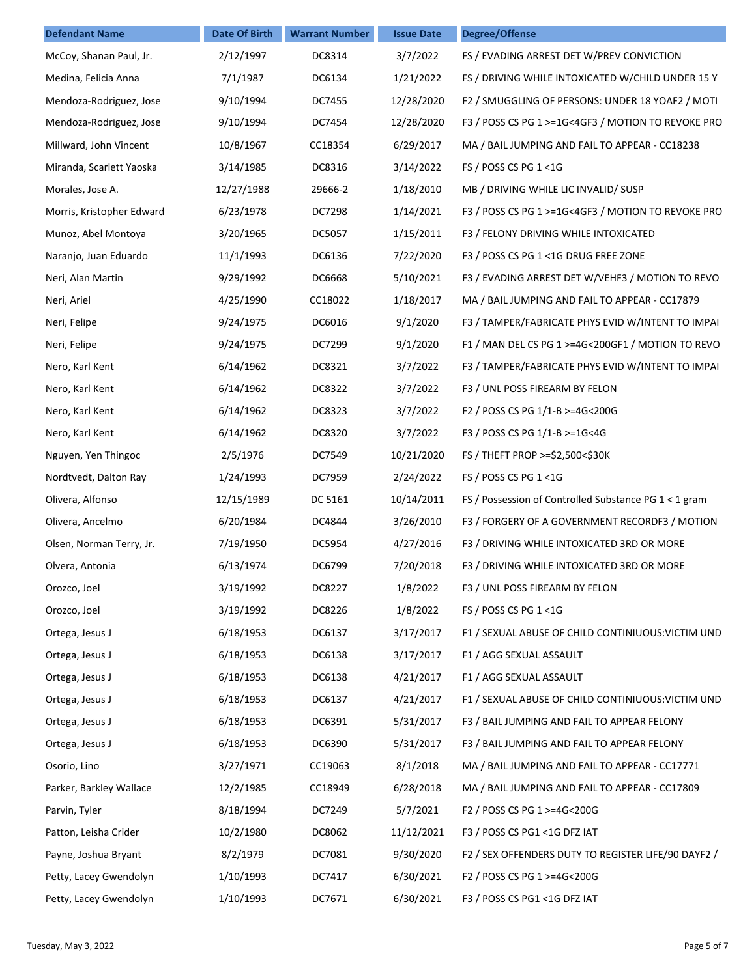| <b>Defendant Name</b>     | <b>Date Of Birth</b> | <b>Warrant Number</b> | <b>Issue Date</b> | <b>Degree/Offense</b>                                 |
|---------------------------|----------------------|-----------------------|-------------------|-------------------------------------------------------|
| McCoy, Shanan Paul, Jr.   | 2/12/1997            | DC8314                | 3/7/2022          | FS / EVADING ARREST DET W/PREV CONVICTION             |
| Medina, Felicia Anna      | 7/1/1987             | DC6134                | 1/21/2022         | FS / DRIVING WHILE INTOXICATED W/CHILD UNDER 15 Y     |
| Mendoza-Rodriguez, Jose   | 9/10/1994            | DC7455                | 12/28/2020        | F2 / SMUGGLING OF PERSONS: UNDER 18 YOAF2 / MOTI      |
| Mendoza-Rodriguez, Jose   | 9/10/1994            | DC7454                | 12/28/2020        | F3 / POSS CS PG 1 >=1G<4GF3 / MOTION TO REVOKE PRO    |
| Millward, John Vincent    | 10/8/1967            | CC18354               | 6/29/2017         | MA / BAIL JUMPING AND FAIL TO APPEAR - CC18238        |
| Miranda, Scarlett Yaoska  | 3/14/1985            | DC8316                | 3/14/2022         | FS / POSS CS PG 1 <1G                                 |
| Morales, Jose A.          | 12/27/1988           | 29666-2               | 1/18/2010         | MB / DRIVING WHILE LIC INVALID/ SUSP                  |
| Morris, Kristopher Edward | 6/23/1978            | DC7298                | 1/14/2021         | F3 / POSS CS PG 1 >=1G<4GF3 / MOTION TO REVOKE PRO    |
| Munoz, Abel Montoya       | 3/20/1965            | DC5057                | 1/15/2011         | F3 / FELONY DRIVING WHILE INTOXICATED                 |
| Naranjo, Juan Eduardo     | 11/1/1993            | DC6136                | 7/22/2020         | F3 / POSS CS PG 1 <1G DRUG FREE ZONE                  |
| Neri, Alan Martin         | 9/29/1992            | DC6668                | 5/10/2021         | F3 / EVADING ARREST DET W/VEHF3 / MOTION TO REVO      |
| Neri, Ariel               | 4/25/1990            | CC18022               | 1/18/2017         | MA / BAIL JUMPING AND FAIL TO APPEAR - CC17879        |
| Neri, Felipe              | 9/24/1975            | DC6016                | 9/1/2020          | F3 / TAMPER/FABRICATE PHYS EVID W/INTENT TO IMPAI     |
| Neri, Felipe              | 9/24/1975            | DC7299                | 9/1/2020          | F1 / MAN DEL CS PG 1 >=4G<200GF1 / MOTION TO REVO     |
| Nero, Karl Kent           | 6/14/1962            | DC8321                | 3/7/2022          | F3 / TAMPER/FABRICATE PHYS EVID W/INTENT TO IMPAI     |
| Nero, Karl Kent           | 6/14/1962            | DC8322                | 3/7/2022          | F3 / UNL POSS FIREARM BY FELON                        |
| Nero, Karl Kent           | 6/14/1962            | DC8323                | 3/7/2022          | F2 / POSS CS PG 1/1-B >=4G<200G                       |
| Nero, Karl Kent           | 6/14/1962            | DC8320                | 3/7/2022          | F3 / POSS CS PG 1/1-B >=1G<4G                         |
| Nguyen, Yen Thingoc       | 2/5/1976             | DC7549                | 10/21/2020        | FS / THEFT PROP >=\$2,500<\$30K                       |
| Nordtvedt, Dalton Ray     | 1/24/1993            | DC7959                | 2/24/2022         | FS / POSS CS PG 1 <1G                                 |
| Olivera, Alfonso          | 12/15/1989           | DC 5161               | 10/14/2011        | FS / Possession of Controlled Substance PG 1 < 1 gram |
| Olivera, Ancelmo          | 6/20/1984            | DC4844                | 3/26/2010         | F3 / FORGERY OF A GOVERNMENT RECORDF3 / MOTION        |
| Olsen, Norman Terry, Jr.  | 7/19/1950            | DC5954                | 4/27/2016         | F3 / DRIVING WHILE INTOXICATED 3RD OR MORE            |
| Olvera, Antonia           | 6/13/1974            | DC6799                | 7/20/2018         | F3 / DRIVING WHILE INTOXICATED 3RD OR MORE            |
| Orozco, Joel              | 3/19/1992            | DC8227                | 1/8/2022          | F3 / UNL POSS FIREARM BY FELON                        |
| Orozco, Joel              | 3/19/1992            | DC8226                | 1/8/2022          | FS / POSS CS PG 1 <1G                                 |
| Ortega, Jesus J           | 6/18/1953            | DC6137                | 3/17/2017         | F1 / SEXUAL ABUSE OF CHILD CONTINIUOUS: VICTIM UND    |
| Ortega, Jesus J           | 6/18/1953            | DC6138                | 3/17/2017         | F1 / AGG SEXUAL ASSAULT                               |
| Ortega, Jesus J           | 6/18/1953            | DC6138                | 4/21/2017         | F1 / AGG SEXUAL ASSAULT                               |
| Ortega, Jesus J           | 6/18/1953            | DC6137                | 4/21/2017         | F1 / SEXUAL ABUSE OF CHILD CONTINIUOUS: VICTIM UND    |
| Ortega, Jesus J           | 6/18/1953            | DC6391                | 5/31/2017         | F3 / BAIL JUMPING AND FAIL TO APPEAR FELONY           |
| Ortega, Jesus J           | 6/18/1953            | DC6390                | 5/31/2017         | F3 / BAIL JUMPING AND FAIL TO APPEAR FELONY           |
| Osorio, Lino              | 3/27/1971            | CC19063               | 8/1/2018          | MA / BAIL JUMPING AND FAIL TO APPEAR - CC17771        |
| Parker, Barkley Wallace   | 12/2/1985            | CC18949               | 6/28/2018         | MA / BAIL JUMPING AND FAIL TO APPEAR - CC17809        |
| Parvin, Tyler             | 8/18/1994            | DC7249                | 5/7/2021          | F2 / POSS CS PG 1 >=4G<200G                           |
| Patton, Leisha Crider     | 10/2/1980            | DC8062                | 11/12/2021        | F3 / POSS CS PG1 <1G DFZ IAT                          |
| Payne, Joshua Bryant      | 8/2/1979             | DC7081                | 9/30/2020         | F2 / SEX OFFENDERS DUTY TO REGISTER LIFE/90 DAYF2 /   |
| Petty, Lacey Gwendolyn    | 1/10/1993            | DC7417                | 6/30/2021         | F2 / POSS CS PG 1 >=4G<200G                           |
| Petty, Lacey Gwendolyn    | 1/10/1993            | DC7671                | 6/30/2021         | F3 / POSS CS PG1 <1G DFZ IAT                          |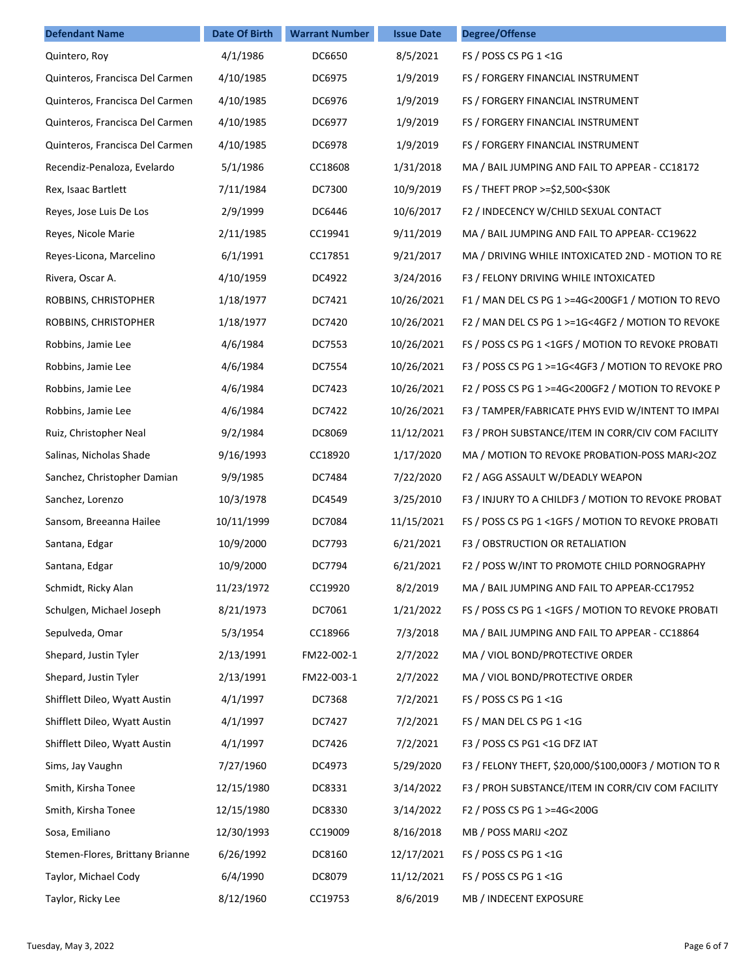| <b>Defendant Name</b>           | Date Of Birth | <b>Warrant Number</b> | <b>Issue Date</b> | <b>Degree/Offense</b>                                 |
|---------------------------------|---------------|-----------------------|-------------------|-------------------------------------------------------|
| Quintero, Roy                   | 4/1/1986      | DC6650                | 8/5/2021          | FS / POSS CS PG 1 <1G                                 |
| Quinteros, Francisca Del Carmen | 4/10/1985     | DC6975                | 1/9/2019          | FS / FORGERY FINANCIAL INSTRUMENT                     |
| Quinteros, Francisca Del Carmen | 4/10/1985     | DC6976                | 1/9/2019          | FS / FORGERY FINANCIAL INSTRUMENT                     |
| Quinteros, Francisca Del Carmen | 4/10/1985     | DC6977                | 1/9/2019          | FS / FORGERY FINANCIAL INSTRUMENT                     |
| Quinteros, Francisca Del Carmen | 4/10/1985     | DC6978                | 1/9/2019          | FS / FORGERY FINANCIAL INSTRUMENT                     |
| Recendiz-Penaloza, Evelardo     | 5/1/1986      | CC18608               | 1/31/2018         | MA / BAIL JUMPING AND FAIL TO APPEAR - CC18172        |
| Rex, Isaac Bartlett             | 7/11/1984     | DC7300                | 10/9/2019         | FS / THEFT PROP >=\$2,500<\$30K                       |
| Reyes, Jose Luis De Los         | 2/9/1999      | DC6446                | 10/6/2017         | F2 / INDECENCY W/CHILD SEXUAL CONTACT                 |
| Reyes, Nicole Marie             | 2/11/1985     | CC19941               | 9/11/2019         | MA / BAIL JUMPING AND FAIL TO APPEAR- CC19622         |
| Reyes-Licona, Marcelino         | 6/1/1991      | CC17851               | 9/21/2017         | MA / DRIVING WHILE INTOXICATED 2ND - MOTION TO RE     |
| Rivera, Oscar A.                | 4/10/1959     | DC4922                | 3/24/2016         | F3 / FELONY DRIVING WHILE INTOXICATED                 |
| ROBBINS, CHRISTOPHER            | 1/18/1977     | DC7421                | 10/26/2021        | F1 / MAN DEL CS PG 1 >=4G<200GF1 / MOTION TO REVO     |
| ROBBINS, CHRISTOPHER            | 1/18/1977     | DC7420                | 10/26/2021        | F2 / MAN DEL CS PG 1 >=1G<4GF2 / MOTION TO REVOKE     |
| Robbins, Jamie Lee              | 4/6/1984      | DC7553                | 10/26/2021        | FS / POSS CS PG 1 < 1GFS / MOTION TO REVOKE PROBATI   |
| Robbins, Jamie Lee              | 4/6/1984      | DC7554                | 10/26/2021        | F3 / POSS CS PG 1 >=1G<4GF3 / MOTION TO REVOKE PRO    |
| Robbins, Jamie Lee              | 4/6/1984      | DC7423                | 10/26/2021        | F2 / POSS CS PG 1 >=4G<200GF2 / MOTION TO REVOKE P    |
| Robbins, Jamie Lee              | 4/6/1984      | DC7422                | 10/26/2021        | F3 / TAMPER/FABRICATE PHYS EVID W/INTENT TO IMPAI     |
| Ruiz, Christopher Neal          | 9/2/1984      | DC8069                | 11/12/2021        | F3 / PROH SUBSTANCE/ITEM IN CORR/CIV COM FACILITY     |
| Salinas, Nicholas Shade         | 9/16/1993     | CC18920               | 1/17/2020         | MA / MOTION TO REVOKE PROBATION-POSS MARJ<20Z         |
| Sanchez, Christopher Damian     | 9/9/1985      | DC7484                | 7/22/2020         | F2 / AGG ASSAULT W/DEADLY WEAPON                      |
| Sanchez, Lorenzo                | 10/3/1978     | DC4549                | 3/25/2010         | F3 / INJURY TO A CHILDF3 / MOTION TO REVOKE PROBAT    |
| Sansom, Breeanna Hailee         | 10/11/1999    | DC7084                | 11/15/2021        | FS / POSS CS PG 1 <1GFS / MOTION TO REVOKE PROBATI    |
| Santana, Edgar                  | 10/9/2000     | DC7793                | 6/21/2021         | F3 / OBSTRUCTION OR RETALIATION                       |
| Santana, Edgar                  | 10/9/2000     | DC7794                | 6/21/2021         | F2 / POSS W/INT TO PROMOTE CHILD PORNOGRAPHY          |
| Schmidt, Ricky Alan             | 11/23/1972    | CC19920               | 8/2/2019          | MA / BAIL JUMPING AND FAIL TO APPEAR-CC17952          |
| Schulgen, Michael Joseph        | 8/21/1973     | DC7061                | 1/21/2022         | FS / POSS CS PG 1 < 1GFS / MOTION TO REVOKE PROBATI   |
| Sepulveda, Omar                 | 5/3/1954      | CC18966               | 7/3/2018          | MA / BAIL JUMPING AND FAIL TO APPEAR - CC18864        |
| Shepard, Justin Tyler           | 2/13/1991     | FM22-002-1            | 2/7/2022          | MA / VIOL BOND/PROTECTIVE ORDER                       |
| Shepard, Justin Tyler           | 2/13/1991     | FM22-003-1            | 2/7/2022          | MA / VIOL BOND/PROTECTIVE ORDER                       |
| Shifflett Dileo, Wyatt Austin   | 4/1/1997      | DC7368                | 7/2/2021          | FS / POSS CS PG 1 <1G                                 |
| Shifflett Dileo, Wyatt Austin   | 4/1/1997      | DC7427                | 7/2/2021          | FS / MAN DEL CS PG 1 <1G                              |
| Shifflett Dileo, Wyatt Austin   | 4/1/1997      | DC7426                | 7/2/2021          | F3 / POSS CS PG1 <1G DFZ IAT                          |
| Sims, Jay Vaughn                | 7/27/1960     | DC4973                | 5/29/2020         | F3 / FELONY THEFT, \$20,000/\$100,000F3 / MOTION TO R |
| Smith, Kirsha Tonee             | 12/15/1980    | DC8331                | 3/14/2022         | F3 / PROH SUBSTANCE/ITEM IN CORR/CIV COM FACILITY     |
| Smith, Kirsha Tonee             | 12/15/1980    | DC8330                | 3/14/2022         | F2 / POSS CS PG 1 >=4G<200G                           |
| Sosa, Emiliano                  | 12/30/1993    | CC19009               | 8/16/2018         | MB / POSS MARIJ <20Z                                  |
| Stemen-Flores, Brittany Brianne | 6/26/1992     | DC8160                | 12/17/2021        | FS / POSS CS PG 1 <1G                                 |
| Taylor, Michael Cody            | 6/4/1990      | DC8079                | 11/12/2021        | FS / POSS CS PG 1 <1G                                 |
| Taylor, Ricky Lee               | 8/12/1960     | CC19753               | 8/6/2019          | MB / INDECENT EXPOSURE                                |